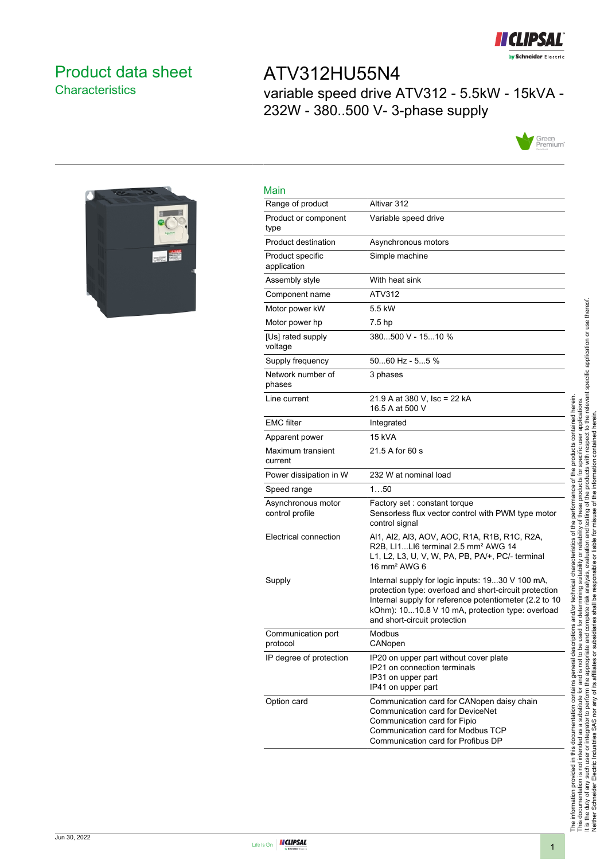

## <span id="page-0-0"></span>Product data sheet **Characteristics**

# ATV312HU55N4 variable speed drive ATV312 - 5.5kW - 15kVA - 232W - 380..500 V- 3-phase supply





| Main                                  |                                                                                                                                                                                                                                                          |
|---------------------------------------|----------------------------------------------------------------------------------------------------------------------------------------------------------------------------------------------------------------------------------------------------------|
| Range of product                      | Altivar 312                                                                                                                                                                                                                                              |
| Product or component<br>type          | Variable speed drive                                                                                                                                                                                                                                     |
| Product destination                   | Asynchronous motors                                                                                                                                                                                                                                      |
| Product specific<br>application       | Simple machine                                                                                                                                                                                                                                           |
| Assembly style                        | With heat sink                                                                                                                                                                                                                                           |
| Component name                        | ATV312                                                                                                                                                                                                                                                   |
| Motor power kW                        | 5.5 kW                                                                                                                                                                                                                                                   |
| Motor power hp                        | 7.5 hp                                                                                                                                                                                                                                                   |
| [Us] rated supply<br>voltage          | 380500 V - 1510 %                                                                                                                                                                                                                                        |
| Supply frequency                      | $5060$ Hz - $55$ %                                                                                                                                                                                                                                       |
| Network number of<br>phases           | 3 phases                                                                                                                                                                                                                                                 |
| Line current                          | 21.9 A at 380 V, Isc = 22 kA<br>16.5 A at 500 V                                                                                                                                                                                                          |
| <b>EMC</b> filter                     | Integrated                                                                                                                                                                                                                                               |
| Apparent power                        | <b>15 kVA</b>                                                                                                                                                                                                                                            |
| Maximum transient<br>current          | 21.5 A for 60 s                                                                                                                                                                                                                                          |
| Power dissipation in W                | 232 W at nominal load                                                                                                                                                                                                                                    |
| Speed range                           | 150                                                                                                                                                                                                                                                      |
| Asynchronous motor<br>control profile | Factory set: constant torque<br>Sensorless flux vector control with PWM type motor<br>control signal                                                                                                                                                     |
| Electrical connection                 | Al1, Al2, Al3, AOV, AOC, R1A, R1B, R1C, R2A,<br>R2B, LI1LI6 terminal 2.5 mm <sup>2</sup> AWG 14<br>L1, L2, L3, U, V, W, PA, PB, PA/+, PC/- terminal<br>16 mm <sup>2</sup> AWG 6                                                                          |
| Supply                                | Internal supply for logic inputs: 1930 V 100 mA,<br>protection type: overload and short-circuit protection<br>Internal supply for reference potentiometer (2.2 to 10<br>kOhm): 1010.8 V 10 mA, protection type: overload<br>and short-circuit protection |
| Communication port<br>protocol        | Modbus<br>CANopen                                                                                                                                                                                                                                        |
| IP degree of protection               | IP20 on upper part without cover plate<br>IP21 on connection terminals<br>IP31 on upper part<br>IP41 on upper part                                                                                                                                       |
| Option card                           | Communication card for CANopen daisy chain<br>Communication card for DeviceNet<br>Communication card for Fipio<br>Communication card for Modbus TCP<br>Communication card for Profibus DP                                                                |

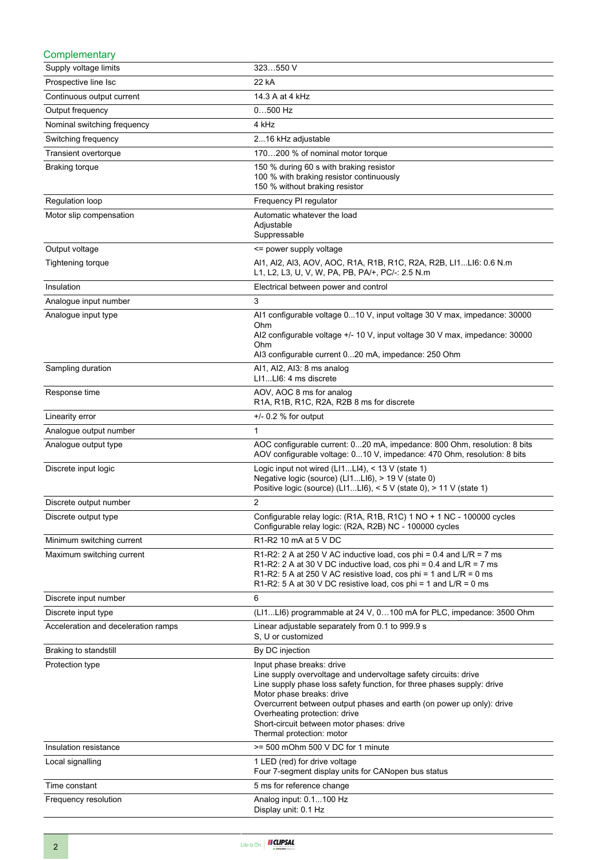| Complementary                       |                                                                                                                                                                                                                                                                                                                                                                                         |
|-------------------------------------|-----------------------------------------------------------------------------------------------------------------------------------------------------------------------------------------------------------------------------------------------------------------------------------------------------------------------------------------------------------------------------------------|
| Supply voltage limits               | 323550 V                                                                                                                                                                                                                                                                                                                                                                                |
| Prospective line Isc                | 22 kA                                                                                                                                                                                                                                                                                                                                                                                   |
| Continuous output current           | 14.3 A at 4 kHz                                                                                                                                                                                                                                                                                                                                                                         |
| Output frequency                    | $0500$ Hz                                                                                                                                                                                                                                                                                                                                                                               |
| Nominal switching frequency         | 4 kHz                                                                                                                                                                                                                                                                                                                                                                                   |
| Switching frequency                 | 216 kHz adjustable                                                                                                                                                                                                                                                                                                                                                                      |
| Transient overtorque                | 170200 % of nominal motor torque                                                                                                                                                                                                                                                                                                                                                        |
| <b>Braking torque</b>               | 150 % during 60 s with braking resistor<br>100 % with braking resistor continuously<br>150 % without braking resistor                                                                                                                                                                                                                                                                   |
| Regulation loop                     | Frequency PI regulator                                                                                                                                                                                                                                                                                                                                                                  |
| Motor slip compensation             | Automatic whatever the load<br>Adjustable<br>Suppressable                                                                                                                                                                                                                                                                                                                               |
| Output voltage                      | <= power supply voltage                                                                                                                                                                                                                                                                                                                                                                 |
| Tightening torque                   | Al1, Al2, Al3, AOV, AOC, R1A, R1B, R1C, R2A, R2B, Ll1Ll6: 0.6 N.m<br>L1, L2, L3, U, V, W, PA, PB, PA/+, PC/-: 2.5 N.m                                                                                                                                                                                                                                                                   |
| Insulation                          | Electrical between power and control                                                                                                                                                                                                                                                                                                                                                    |
| Analogue input number               | 3                                                                                                                                                                                                                                                                                                                                                                                       |
| Analogue input type                 | Al1 configurable voltage 010 V, input voltage 30 V max, impedance: 30000<br>Ohm<br>Al2 configurable voltage +/- 10 V, input voltage 30 V max, impedance: 30000<br>Ohm<br>AI3 configurable current 020 mA, impedance: 250 Ohm                                                                                                                                                            |
| Sampling duration                   | Al1, Al2, Al3: 8 ms analog<br>LI1LI6: 4 ms discrete                                                                                                                                                                                                                                                                                                                                     |
| Response time                       | AOV, AOC 8 ms for analog<br>R1A, R1B, R1C, R2A, R2B 8 ms for discrete                                                                                                                                                                                                                                                                                                                   |
| Linearity error                     | $+/- 0.2$ % for output                                                                                                                                                                                                                                                                                                                                                                  |
| Analogue output number              | $\mathbf{1}$                                                                                                                                                                                                                                                                                                                                                                            |
| Analogue output type                | AOC configurable current: 020 mA, impedance: 800 Ohm, resolution: 8 bits<br>AOV configurable voltage: 010 V, impedance: 470 Ohm, resolution: 8 bits                                                                                                                                                                                                                                     |
| Discrete input logic                | Logic input not wired (LI1LI4), < 13 V (state 1)<br>Negative logic (source) (LI1LI6), > 19 V (state 0)<br>Positive logic (source) (LI1LI6), < 5 V (state 0), > 11 V (state 1)                                                                                                                                                                                                           |
| Discrete output number              | 2                                                                                                                                                                                                                                                                                                                                                                                       |
| Discrete output type                | Configurable relay logic: (R1A, R1B, R1C) 1 NO + 1 NC - 100000 cycles<br>Configurable relay logic: (R2A, R2B) NC - 100000 cycles                                                                                                                                                                                                                                                        |
| Minimum switching current           | R1-R2 10 mA at 5 V DC                                                                                                                                                                                                                                                                                                                                                                   |
| Maximum switching current           | R1-R2: 2 A at 250 V AC inductive load, cos phi = 0.4 and $L/R = 7$ ms<br>R1-R2: 2 A at 30 V DC inductive load, cos phi = 0.4 and $L/R = 7$ ms<br>R1-R2: 5 A at 250 V AC resistive load, cos phi = 1 and $L/R = 0$ ms<br>R1-R2: 5 A at 30 V DC resistive load, cos phi = 1 and $L/R = 0$ ms                                                                                              |
| Discrete input number               | 6                                                                                                                                                                                                                                                                                                                                                                                       |
| Discrete input type                 | (LI1LI6) programmable at 24 V, 0100 mA for PLC, impedance: 3500 Ohm                                                                                                                                                                                                                                                                                                                     |
| Acceleration and deceleration ramps | Linear adjustable separately from 0.1 to 999.9 s<br>S. U or customized                                                                                                                                                                                                                                                                                                                  |
| Braking to standstill               | By DC injection                                                                                                                                                                                                                                                                                                                                                                         |
| Protection type                     | Input phase breaks: drive<br>Line supply overvoltage and undervoltage safety circuits: drive<br>Line supply phase loss safety function, for three phases supply: drive<br>Motor phase breaks: drive<br>Overcurrent between output phases and earth (on power up only): drive<br>Overheating protection: drive<br>Short-circuit between motor phases: drive<br>Thermal protection: motor |
| Insulation resistance               | >= 500 mOhm 500 V DC for 1 minute                                                                                                                                                                                                                                                                                                                                                       |
| Local signalling                    | 1 LED (red) for drive voltage<br>Four 7-segment display units for CANopen bus status                                                                                                                                                                                                                                                                                                    |
| Time constant                       | 5 ms for reference change                                                                                                                                                                                                                                                                                                                                                               |
| Frequency resolution                | Analog input: 0.1100 Hz<br>Display unit: 0.1 Hz                                                                                                                                                                                                                                                                                                                                         |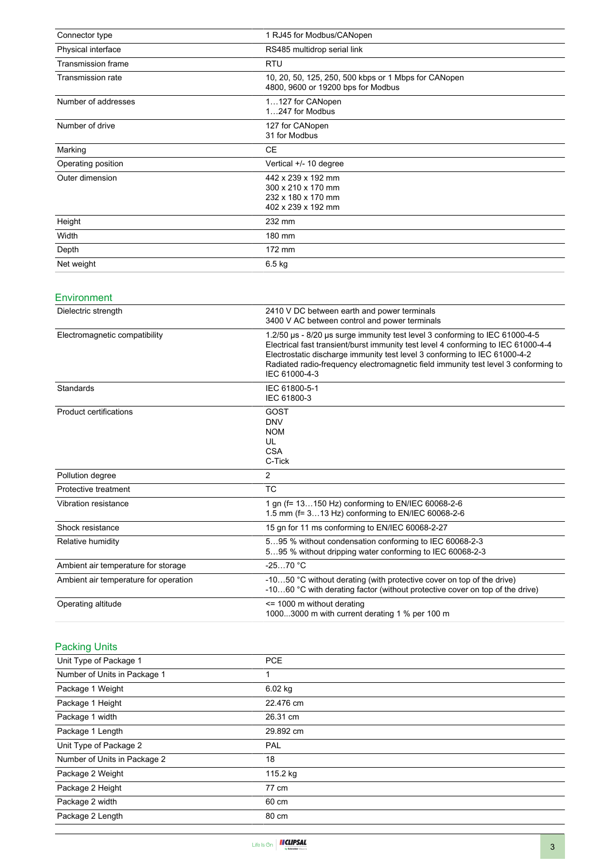| Connector type            | 1 RJ45 for Modbus/CANopen                                                                  |
|---------------------------|--------------------------------------------------------------------------------------------|
| Physical interface        | RS485 multidrop serial link                                                                |
| <b>Transmission frame</b> | <b>RTU</b>                                                                                 |
| Transmission rate         | 10, 20, 50, 125, 250, 500 kbps or 1 Mbps for CANopen<br>4800, 9600 or 19200 bps for Modbus |
| Number of addresses       | 1127 for CANopen<br>1247 for Modbus                                                        |
| Number of drive           | 127 for CANopen<br>31 for Modbus                                                           |
| Marking                   | <b>CE</b>                                                                                  |
| Operating position        | Vertical +/- 10 degree                                                                     |
| Outer dimension           | 442 x 239 x 192 mm<br>300 x 210 x 170 mm<br>232 x 180 x 170 mm<br>402 x 239 x 192 mm       |
| Height                    | 232 mm                                                                                     |
| Width                     | 180 mm                                                                                     |
| Depth                     | 172 mm                                                                                     |
| Net weight                | 6.5 kg                                                                                     |

#### Environment

| Dielectric strength                   | 2410 V DC between earth and power terminals<br>3400 V AC between control and power terminals                                                                                                                                                                                                                                                         |
|---------------------------------------|------------------------------------------------------------------------------------------------------------------------------------------------------------------------------------------------------------------------------------------------------------------------------------------------------------------------------------------------------|
| Electromagnetic compatibility         | 1.2/50 us - 8/20 us surge immunity test level 3 conforming to IEC 61000-4-5<br>Electrical fast transient/burst immunity test level 4 conforming to IEC 61000-4-4<br>Electrostatic discharge immunity test level 3 conforming to IEC 61000-4-2<br>Radiated radio-frequency electromagnetic field immunity test level 3 conforming to<br>IEC 61000-4-3 |
| Standards                             | IEC 61800-5-1<br>IEC 61800-3                                                                                                                                                                                                                                                                                                                         |
| Product certifications                | GOST<br><b>DNV</b><br><b>NOM</b><br>UL<br><b>CSA</b><br>C-Tick                                                                                                                                                                                                                                                                                       |
| Pollution degree                      | $\overline{2}$                                                                                                                                                                                                                                                                                                                                       |
| Protective treatment                  | <b>TC</b>                                                                                                                                                                                                                                                                                                                                            |
| Vibration resistance                  | 1 gn (f= 13150 Hz) conforming to EN/IEC 60068-2-6<br>1.5 mm (f= 313 Hz) conforming to EN/IEC 60068-2-6                                                                                                                                                                                                                                               |
| Shock resistance                      | 15 gn for 11 ms conforming to EN/IEC 60068-2-27                                                                                                                                                                                                                                                                                                      |
| Relative humidity                     | 595 % without condensation conforming to IEC 60068-2-3<br>595 % without dripping water conforming to IEC 60068-2-3                                                                                                                                                                                                                                   |
| Ambient air temperature for storage   | $-2570 °C$                                                                                                                                                                                                                                                                                                                                           |
| Ambient air temperature for operation | -1050 °C without derating (with protective cover on top of the drive)<br>-1060 °C with derating factor (without protective cover on top of the drive)                                                                                                                                                                                                |
| Operating altitude                    | <= 1000 m without derating<br>10003000 m with current derating 1 % per 100 m                                                                                                                                                                                                                                                                         |

## Packing Units

| Unit Type of Package 1       | <b>PCE</b> |
|------------------------------|------------|
| Number of Units in Package 1 | 1          |
| Package 1 Weight             | 6.02 kg    |
| Package 1 Height             | 22.476 cm  |
| Package 1 width              | 26.31 cm   |
| Package 1 Length             | 29.892 cm  |
| Unit Type of Package 2       | PAL        |
| Number of Units in Package 2 | 18         |
| Package 2 Weight             | 115.2 kg   |
| Package 2 Height             | 77 cm      |
| Package 2 width              | 60 cm      |
| Package 2 Length             | 80 cm      |